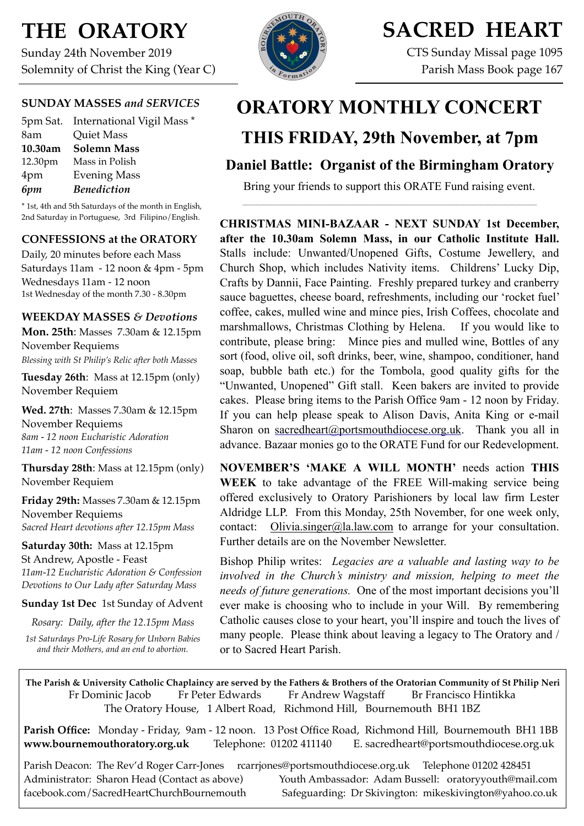# **THE ORATORY**

Sunday 24th November 2019 Solemnity of Christ the King (Year C)

## **SUNDAY MASSES** *and SERVICES*

|         | 5pm Sat. International Vigil Mass * |
|---------|-------------------------------------|
| 8am     | <b>Quiet Mass</b>                   |
| 10.30am | <b>Solemn Mass</b>                  |
| 12.30pm | Mass in Polish                      |
| 4pm     | <b>Evening Mass</b>                 |
| 6pm     | <b>Benediction</b>                  |

\* 1st, 4th and 5th Saturdays of the month in English, 2nd Saturday in Portuguese, 3rd Filipino/English.

### **CONFESSIONS at the ORATORY**

Daily, 20 minutes before each Mass Saturdays 11am - 12 noon & 4pm - 5pm Wednesdays 11am - 12 noon 1st Wednesday of the month 7.30 - 8.30pm

### **WEEKDAY MASSES** *& Devotions*

**Mon. 25th**: Masses 7.30am & 12.15pm November Requiems *Blessing with St Philip's Relic after both Masses*

**Tuesday 26th**: Mass at 12.15pm (only) November Requiem

**Wed. 27th**: Masses 7.30am & 12.15pm November Requiems *8am - 12 noon Eucharistic Adoration 11am - 12 noon Confessions*

**Thursday 28th**: Mass at 12.15pm (only) November Requiem

**Friday 29th:** Masses 7.30am & 12.15pm November Requiems *Sacred Heart devotions after 12.15pm Mass*

**Saturday 30th:** Mass at 12.15pm St Andrew, Apostle - Feast *11am-12 Eucharistic Adoration & Confession Devotions to Our Lady after Saturday Mass*

**Sunday 1st Dec** 1st Sunday of Advent

*Rosary: Daily, after the 12.15pm Mass*

*1st Saturdays Pro-Life Rosary for Unborn Babies and their Mothers, and an end to abortion.*



# **SACRED HEART**

CTS Sunday Missal page 1095 Parish Mass Book page 167

# **ORATORY MONTHLY CONCERT**

## **THIS FRIDAY, 29th November, at 7pm**

## **Daniel Battle: Organist of the Birmingham Oratory**

Bring your friends to support this ORATE Fund raising event.  $\mathcal{L}_\text{max}$ 

**CHRISTMAS MINI-BAZAAR - NEXT SUNDAY 1st December, after the 10.30am Solemn Mass, in our Catholic Institute Hall.**  Stalls include: Unwanted/Unopened Gifts, Costume Jewellery, and Church Shop, which includes Nativity items. Childrens' Lucky Dip, Crafts by Dannii, Face Painting. Freshly prepared turkey and cranberry sauce baguettes, cheese board, refreshments, including our 'rocket fuel' coffee, cakes, mulled wine and mince pies, Irish Coffees, chocolate and marshmallows, Christmas Clothing by Helena. If you would like to contribute, please bring: Mince pies and mulled wine, Bottles of any sort (food, olive oil, soft drinks, beer, wine, shampoo, conditioner, hand soap, bubble bath etc.) for the Tombola, good quality gifts for the "Unwanted, Unopened" Gift stall. Keen bakers are invited to provide cakes. Please bring items to the Parish Office 9am - 12 noon by Friday. If you can help please speak to Alison Davis, Anita King or e-mail Sharon on [sacredheart@portsmouthdiocese.org.uk](mailto:sacredheart@portsmouthdiocese.org.uk). Thank you all in advance. Bazaar monies go to the ORATE Fund for our Redevelopment.

**NOVEMBER'S 'MAKE A WILL MONTH'** needs action **THIS WEEK** to take advantage of the FREE Will-making service being offered exclusively to Oratory Parishioners by local law firm Lester Aldridge LLP. From this Monday, 25th November, for one week only, contact:  $Olivia.singer@la.law.com$  to arrange for your consultation. Further details are on the November Newsletter.

Bishop Philip writes: *Legacies are a valuable and lasting way to be involved in the Church's ministry and mission, helping to meet the needs of future generations.* One of the most important decisions you'll ever make is choosing who to include in your Will. By remembering Catholic causes close to your heart, you'll inspire and touch the lives of many people. Please think about leaving a legacy to The Oratory and / or to Sacred Heart Parish.

**The Parish & University Catholic Chaplaincy are served by the Fathers & Brothers of the Oratorian Community of St Philip Neri**  Fr Dominic Jacob Fr Peter Edwards Fr Andrew Wagstaff Br Francisco Hintikka The Oratory House, 1 Albert Road, Richmond Hill, Bournemouth BH1 1BZ

**Parish Office:** Monday - Friday, 9am - 12 noon. 13 Post Office Road, Richmond Hill, Bournemouth BH1 1BB **[www.bournemouthoratory.org.uk](http://www.bournemoithoratory.org.uk)** Telephone: 01202 411140 E. [sacredheart@portsmouthdiocese.org.uk](mailto:sacredheart@portsmouthdiocese.org.uk)

Parish Deacon: The Rev'd Roger Carr-Jones [rcarrjones@portsmouthdiocese.org.uk](mailto:rcarrjones@portsmouthdiocese.org.uk) Telephone 01202 428451 Administrator: Sharon Head (Contact as above) Youth Ambassador: Adam Bussell: [oratoryyouth@mail.com](http://oratoryyouth.mail.com) [facebook.com/SacredHeartChurchBournemouth](http://facebook.com/SaccredHeartChurchBournemouth) Safeguarding: Dr Skivington: mikeskivington@yahoo.co.uk